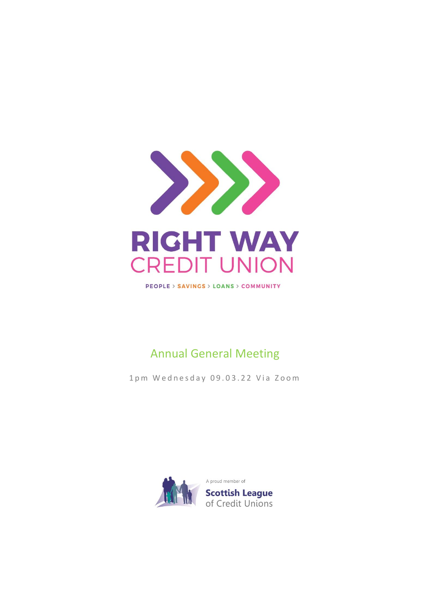

**PEOPLE > SAVINGS > LOANS > COMMUNITY** 

## Annual General Meeting

1pm Wednesday 09.03.22 Via Zoom

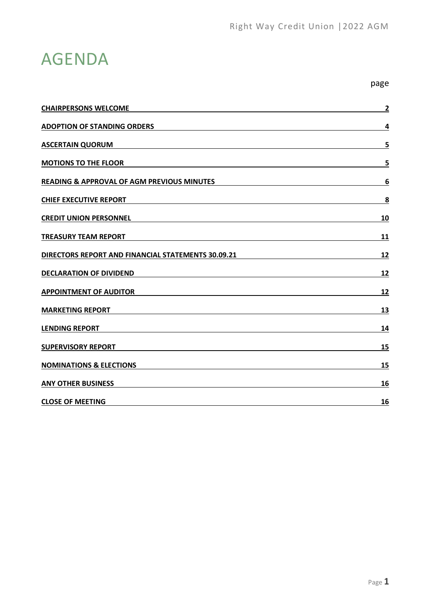page

# AGENDA

| <b>CHAIRPERSONS WELCOME</b>                           | $\mathbf{2}$ |
|-------------------------------------------------------|--------------|
| <b>ADOPTION OF STANDING ORDERS</b>                    | 4            |
| <b>ASCERTAIN QUORUM</b>                               | 5            |
| <b>MOTIONS TO THE FLOOR</b>                           | 5            |
| <b>READING &amp; APPROVAL OF AGM PREVIOUS MINUTES</b> | 6            |
| <b>CHIEF EXECUTIVE REPORT</b>                         | 8            |
| <b>CREDIT UNION PERSONNEL</b>                         | 10           |
| <b>TREASURY TEAM REPORT</b>                           | 11           |
| DIRECTORS REPORT AND FINANCIAL STATEMENTS 30.09.21    | <u>12</u>    |
| <b>DECLARATION OF DIVIDEND</b>                        | 12           |
| <b>APPOINTMENT OF AUDITOR</b>                         | <u>12</u>    |
| <b>MARKETING REPORT</b>                               | 13           |
| <b>LENDING REPORT</b>                                 | 14           |
| <b>SUPERVISORY REPORT</b>                             | 15           |
| <b>NOMINATIONS &amp; ELECTIONS</b>                    | 15           |
| <b>ANY OTHER BUSINESS</b>                             | 16           |
| <b>CLOSE OF MEETING</b>                               | 16           |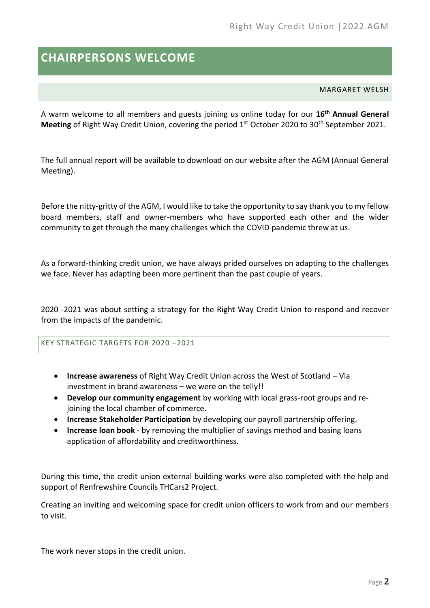## <span id="page-2-0"></span>**CHAIRPERSONS WELCOME**

MARGARET WELSH

A warm welcome to all members and guests joining us online today for our **16th Annual General**  Meeting of Right Way Credit Union, covering the period 1<sup>st</sup> October 2020 to 30<sup>th</sup> September 2021.

The full annual report will be available to download on our website after the AGM (Annual General Meeting).

Before the nitty-gritty of the AGM, I would like to take the opportunity to say thank you to my fellow board members, staff and owner-members who have supported each other and the wider community to get through the many challenges which the COVID pandemic threw at us.

As a forward-thinking credit union, we have always prided ourselves on adapting to the challenges we face. Never has adapting been more pertinent than the past couple of years.

2020 -2021 was about setting a strategy for the Right Way Credit Union to respond and recover from the impacts of the pandemic.

KEY STRATEGIC TARGETS FOR 2020 –2021

- **Increase awareness** of Right Way Credit Union across the West of Scotland Via investment in brand awareness – we were on the telly!!
- **Develop our community engagement** by working with local grass-root groups and rejoining the local chamber of commerce.
- **Increase Stakeholder Participation** by developing our payroll partnership offering.
- **Increase loan book** by removing the multiplier of savings method and basing loans application of affordability and creditworthiness.

During this time, the credit union external building works were also completed with the help and support of Renfrewshire Councils THCars2 Project.

Creating an inviting and welcoming space for credit union officers to work from and our members to visit.

The work never stops in the credit union.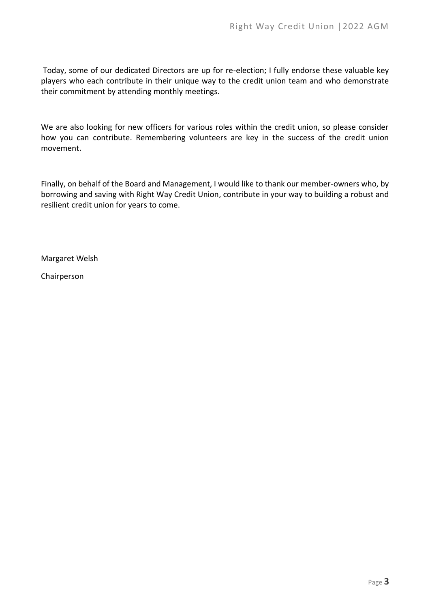Today, some of our dedicated Directors are up for re-election; I fully endorse these valuable key players who each contribute in their unique way to the credit union team and who demonstrate their commitment by attending monthly meetings.

We are also looking for new officers for various roles within the credit union, so please consider how you can contribute. Remembering volunteers are key in the success of the credit union movement.

Finally, on behalf of the Board and Management, I would like to thank our member-owners who, by borrowing and saving with Right Way Credit Union, contribute in your way to building a robust and resilient credit union for years to come.

Margaret Welsh

Chairperson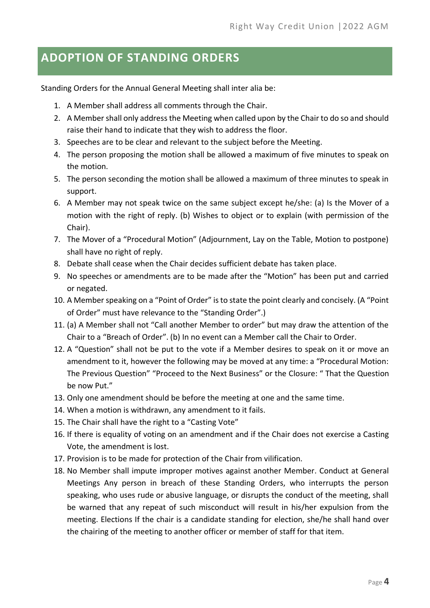### <span id="page-4-0"></span>**ADOPTION OF STANDING ORDERS**

Standing Orders for the Annual General Meeting shall inter alia be:

- 1. A Member shall address all comments through the Chair.
- 2. A Member shall only address the Meeting when called upon by the Chair to do so and should raise their hand to indicate that they wish to address the floor.
- 3. Speeches are to be clear and relevant to the subject before the Meeting.
- 4. The person proposing the motion shall be allowed a maximum of five minutes to speak on the motion.
- 5. The person seconding the motion shall be allowed a maximum of three minutes to speak in support.
- 6. A Member may not speak twice on the same subject except he/she: (a) Is the Mover of a motion with the right of reply. (b) Wishes to object or to explain (with permission of the Chair).
- 7. The Mover of a "Procedural Motion" (Adjournment, Lay on the Table, Motion to postpone) shall have no right of reply.
- 8. Debate shall cease when the Chair decides sufficient debate has taken place.
- 9. No speeches or amendments are to be made after the "Motion" has been put and carried or negated.
- 10. A Member speaking on a "Point of Order" is to state the point clearly and concisely. (A "Point of Order" must have relevance to the "Standing Order".)
- 11. (a) A Member shall not "Call another Member to order" but may draw the attention of the Chair to a "Breach of Order". (b) In no event can a Member call the Chair to Order.
- 12. A "Question" shall not be put to the vote if a Member desires to speak on it or move an amendment to it, however the following may be moved at any time: a "Procedural Motion: The Previous Question" "Proceed to the Next Business" or the Closure: " That the Question be now Put."
- 13. Only one amendment should be before the meeting at one and the same time.
- 14. When a motion is withdrawn, any amendment to it fails.
- 15. The Chair shall have the right to a "Casting Vote"
- 16. If there is equality of voting on an amendment and if the Chair does not exercise a Casting Vote, the amendment is lost.
- 17. Provision is to be made for protection of the Chair from vilification.
- 18. No Member shall impute improper motives against another Member. Conduct at General Meetings Any person in breach of these Standing Orders, who interrupts the person speaking, who uses rude or abusive language, or disrupts the conduct of the meeting, shall be warned that any repeat of such misconduct will result in his/her expulsion from the meeting. Elections If the chair is a candidate standing for election, she/he shall hand over the chairing of the meeting to another officer or member of staff for that item.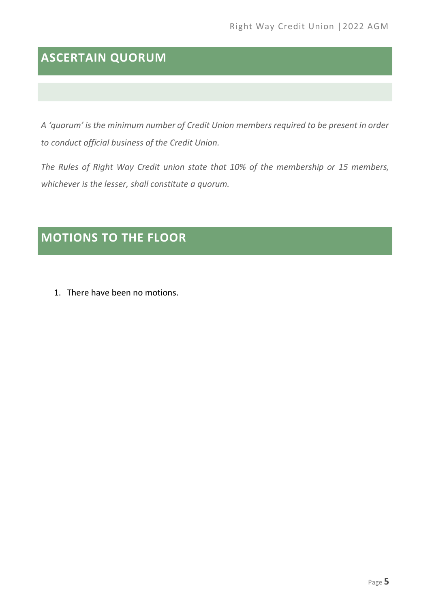## <span id="page-5-0"></span>**ASCERTAIN QUORUM**

*A 'quorum' is the minimum number of Credit Union members required to be present in order to conduct official business of the Credit Union.* 

*The Rules of Right Way Credit union state that 10% of the membership or 15 members, whichever is the lesser, shall constitute a quorum.*

## <span id="page-5-1"></span>**MOTIONS TO THE FLOOR**

1. There have been no motions.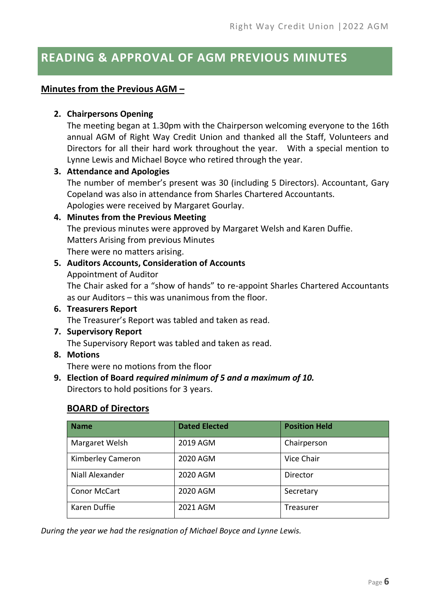### <span id="page-6-0"></span>**READING & APPROVAL OF AGM PREVIOUS MINUTES**

### **Minutes from the Previous AGM –**

### **2. Chairpersons Opening**

The meeting began at 1.30pm with the Chairperson welcoming everyone to the 16th annual AGM of Right Way Credit Union and thanked all the Staff, Volunteers and Directors for all their hard work throughout the year. With a special mention to Lynne Lewis and Michael Boyce who retired through the year.

#### **3. Attendance and Apologies**

The number of member's present was 30 (including 5 Directors). Accountant, Gary Copeland was also in attendance from Sharles Chartered Accountants. Apologies were received by Margaret Gourlay.

### **4. Minutes from the Previous Meeting**

The previous minutes were approved by Margaret Welsh and Karen Duffie. Matters Arising from previous Minutes There were no matters arising.

### **5. Auditors Accounts, Consideration of Accounts**

Appointment of Auditor The Chair asked for a "show of hands" to re-appoint Sharles Chartered Accountants as our Auditors – this was unanimous from the floor.

**6. Treasurers Report**

The Treasurer's Report was tabled and taken as read.

**7. Supervisory Report**

The Supervisory Report was tabled and taken as read.

**8. Motions**

There were no motions from the floor

**9. Election of Board** *required minimum of 5 and a maximum of 10.* Directors to hold positions for 3 years.

### **BOARD of Directors**

| <b>Name</b>         | <b>Dated Elected</b> | <b>Position Held</b> |
|---------------------|----------------------|----------------------|
| Margaret Welsh      | 2019 AGM             | Chairperson          |
| Kimberley Cameron   | 2020 AGM             | Vice Chair           |
| Niall Alexander     | 2020 AGM             | Director             |
| <b>Conor McCart</b> | 2020 AGM             | Secretary            |
| Karen Duffie        | 2021 AGM             | Treasurer            |

*During the year we had the resignation of Michael Boyce and Lynne Lewis.*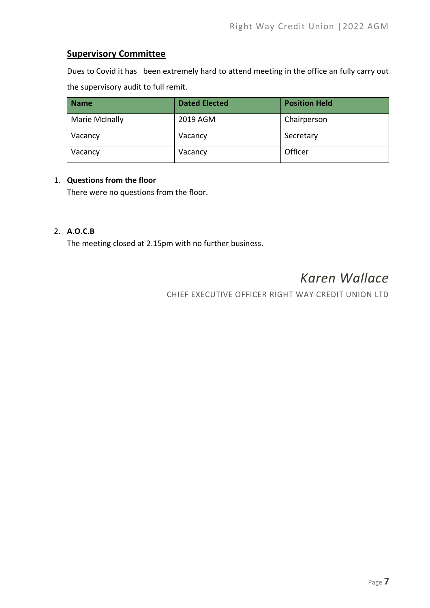### **Supervisory Committee**

Dues to Covid it has been extremely hard to attend meeting in the office an fully carry out the supervisory audit to full remit.

| <b>Name</b>    | <b>Dated Elected</b> | <b>Position Held</b> |
|----------------|----------------------|----------------------|
| Marie McInally | 2019 AGM             | Chairperson          |
| Vacancy        | Vacancy              | Secretary            |
| Vacancy        | Vacancy              | Officer              |

#### 1. **Questions from the floor**

There were no questions from the floor.

#### 2. **A.O.C.B**

The meeting closed at 2.15pm with no further business.

## *Karen Wallace*

CHIEF EXECUTIVE OFFICER RIGHT WAY CREDIT UNION LTD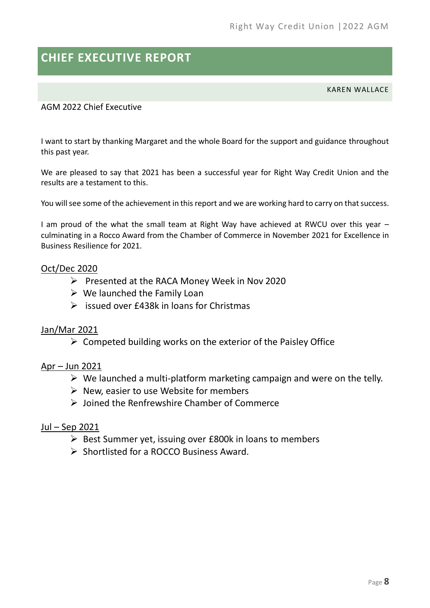## <span id="page-8-0"></span>**CHIEF EXECUTIVE REPORT**

KAREN WALLACE

### AGM 2022 Chief Executive

I want to start by thanking Margaret and the whole Board for the support and guidance throughout this past year.

We are pleased to say that 2021 has been a successful year for Right Way Credit Union and the results are a testament to this.

You will see some of the achievement in this report and we are working hard to carry on that success.

I am proud of the what the small team at Right Way have achieved at RWCU over this year culminating in a Rocco Award from the Chamber of Commerce in November 2021 for Excellence in Business Resilience for 2021.

### Oct/Dec 2020

- ➢ Presented at the RACA Money Week in Nov 2020
- $\triangleright$  We launched the Family Loan
- $\triangleright$  issued over £438k in loans for Christmas

### Jan/Mar 2021

 $\triangleright$  Competed building works on the exterior of the Paisley Office

### Apr – Jun 2021

- $\triangleright$  We launched a multi-platform marketing campaign and were on the telly.
- $\triangleright$  New, easier to use Website for members
- ➢ Joined the Renfrewshire Chamber of Commerce

### Jul – Sep 2021

- ➢ Best Summer yet, issuing over £800k in loans to members
- ➢ Shortlisted for a ROCCO Business Award.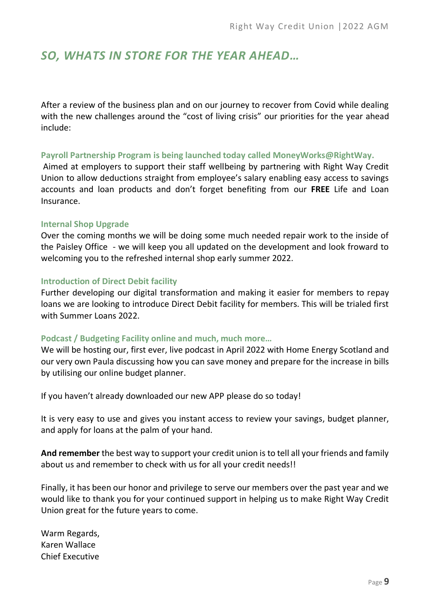### *SO, WHATS IN STORE FOR THE YEAR AHEAD…*

After a review of the business plan and on our journey to recover from Covid while dealing with the new challenges around the "cost of living crisis" our priorities for the year ahead include:

#### **Payroll Partnership Program is being launched today called MoneyWorks@RightWay.**

Aimed at employers to support their staff wellbeing by partnering with Right Way Credit Union to allow deductions straight from employee's salary enabling easy access to savings accounts and loan products and don't forget benefiting from our **FREE** Life and Loan Insurance.

#### **Internal Shop Upgrade**

Over the coming months we will be doing some much needed repair work to the inside of the Paisley Office - we will keep you all updated on the development and look froward to welcoming you to the refreshed internal shop early summer 2022.

#### **Introduction of Direct Debit facility**

Further developing our digital transformation and making it easier for members to repay loans we are looking to introduce Direct Debit facility for members. This will be trialed first with Summer Loans 2022.

#### **Podcast / Budgeting Facility online and much, much more…**

We will be hosting our, first ever, live podcast in April 2022 with Home Energy Scotland and our very own Paula discussing how you can save money and prepare for the increase in bills by utilising our online budget planner.

If you haven't already downloaded our new APP please do so today!

It is very easy to use and gives you instant access to review your savings, budget planner, and apply for loans at the palm of your hand.

**And remember** the best way to support your credit union is to tell all your friends and family about us and remember to check with us for all your credit needs!!

Finally, it has been our honor and privilege to serve our members over the past year and we would like to thank you for your continued support in helping us to make Right Way Credit Union great for the future years to come.

Warm Regards, Karen Wallace Chief Executive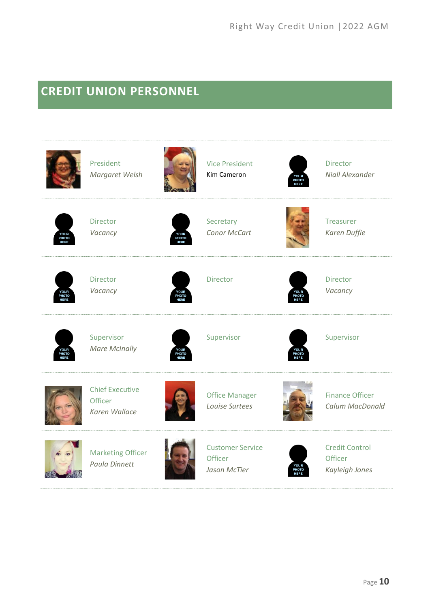## <span id="page-10-0"></span>**CREDIT UNION PERSONNEL**

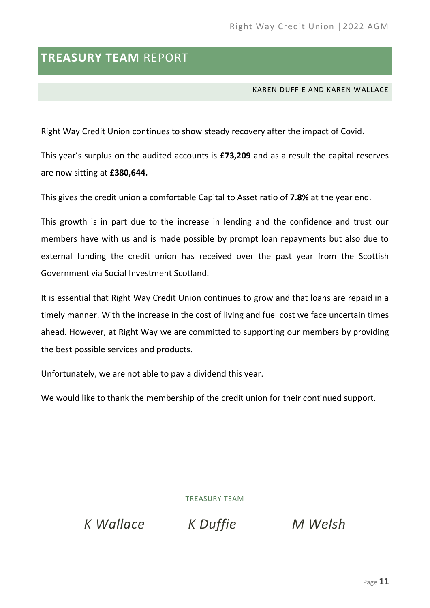### <span id="page-11-0"></span>**TREASURY TEAM** REPORT

KAREN DUFFIE AND KAREN WALLACE

Right Way Credit Union continues to show steady recovery after the impact of Covid.

This year's surplus on the audited accounts is **£73,209** and as a result the capital reserves are now sitting at **£380,644.**

This gives the credit union a comfortable Capital to Asset ratio of **7.8%** at the year end.

This growth is in part due to the increase in lending and the confidence and trust our members have with us and is made possible by prompt loan repayments but also due to external funding the credit union has received over the past year from the Scottish Government via Social Investment Scotland.

It is essential that Right Way Credit Union continues to grow and that loans are repaid in a timely manner. With the increase in the cost of living and fuel cost we face uncertain times ahead. However, at Right Way we are committed to supporting our members by providing the best possible services and products.

Unfortunately, we are not able to pay a dividend this year.

We would like to thank the membership of the credit union for their continued support.

TREASURY TEAM

*K Wallace K Duffie M Welsh*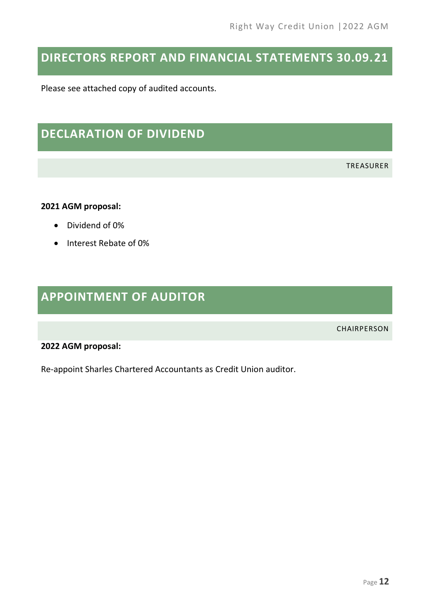## <span id="page-12-0"></span>**DIRECTORS REPORT AND FINANCIAL STATEMENTS 30.09.21**

Please see attached copy of audited accounts.

### <span id="page-12-1"></span>**DECLARATION OF DIVIDEND**

TREASURER

#### **2021 AGM proposal:**

- Dividend of 0%
- Interest Rebate of 0%

## <span id="page-12-2"></span>**APPOINTMENT OF AUDITOR**

CHAIRPERSON

#### **2022 AGM proposal:**

Re-appoint Sharles Chartered Accountants as Credit Union auditor.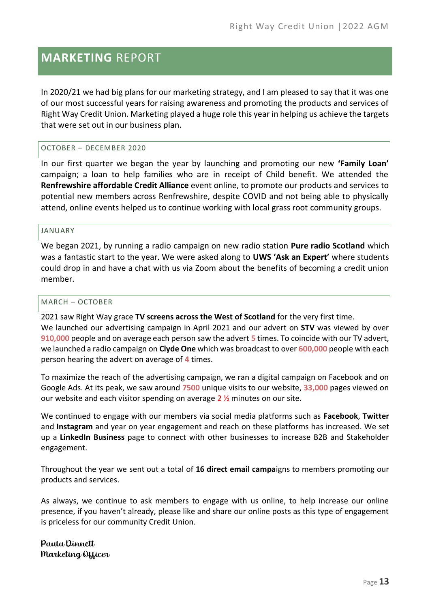### <span id="page-13-0"></span>**MARKETING** REPORT

In 2020/21 we had big plans for our marketing strategy, and I am pleased to say that it was one of our most successful years for raising awareness and promoting the products and services of Right Way Credit Union. Marketing played a huge role this year in helping us achieve the targets that were set out in our business plan.

#### OCTOBER – DECEMBER 2020

In our first quarter we began the year by launching and promoting our new **'Family Loan'** campaign; a loan to help families who are in receipt of Child benefit. We attended the **Renfrewshire affordable Credit Alliance** event online, to promote our products and services to potential new members across Renfrewshire, despite COVID and not being able to physically attend, online events helped us to continue working with local grass root community groups.

#### JANUARY

We began 2021, by running a radio campaign on new radio station **Pure radio Scotland** which was a fantastic start to the year. We were asked along to **UWS 'Ask an Expert'** where students could drop in and have a chat with us via Zoom about the benefits of becoming a credit union member.

#### MARCH – OCTOBER

2021 saw Right Way grace **TV screens across the West of Scotland** for the very first time. We launched our advertising campaign in April 2021 and our advert on **STV** was viewed by over **910,000** people and on average each person saw the advert **5** times. To coincide with our TV advert, we launched a radio campaign on **Clyde One** which was broadcast to over **600,000** people with each person hearing the advert on average of **4** times.

To maximize the reach of the advertising campaign, we ran a digital campaign on Facebook and on Google Ads. At its peak, we saw around **7500** unique visits to our website, **33,000** pages viewed on our website and each visitor spending on average  $2\frac{1}{2}$  minutes on our site.

We continued to engage with our members via social media platforms such as **Facebook**, **Twitter** and **Instagram** and year on year engagement and reach on these platforms has increased. We set up a **LinkedIn Business** page to connect with other businesses to increase B2B and Stakeholder engagement.

Throughout the year we sent out a total of **16 direct email campa**igns to members promoting our products and services.

As always, we continue to ask members to engage with us online, to help increase our online presence, if you haven't already, please like and share our online posts as this type of engagement is priceless for our community Credit Union.

Paula Dinnett Marketing Officer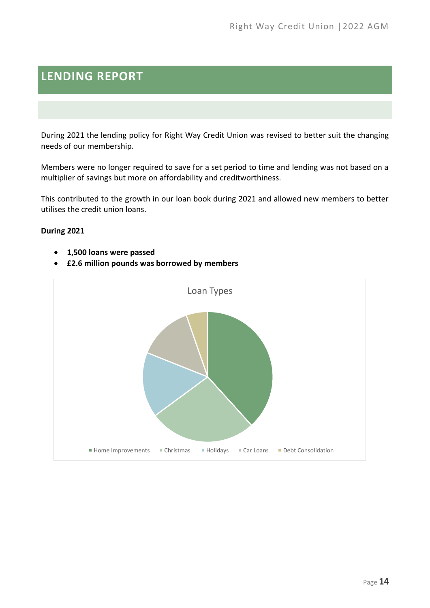## <span id="page-14-0"></span>**LENDING REPORT**

During 2021 the lending policy for Right Way Credit Union was revised to better suit the changing needs of our membership.

Members were no longer required to save for a set period to time and lending was not based on a multiplier of savings but more on affordability and creditworthiness.

This contributed to the growth in our loan book during 2021 and allowed new members to better utilises the credit union loans.

### **During 2021**

- **1,500 loans were passed**
- **£2.6 million pounds was borrowed by members**

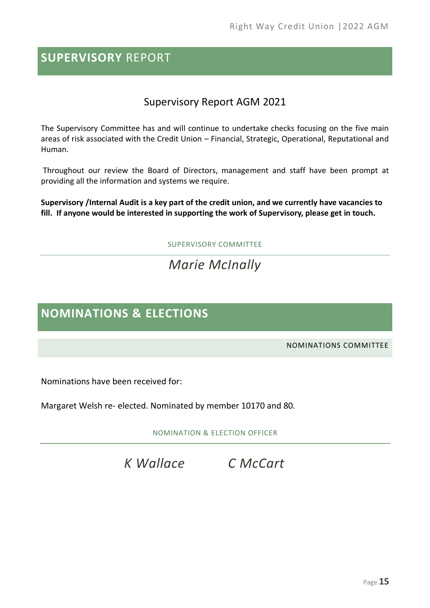### <span id="page-15-0"></span>**SUPERVISORY** REPORT

### Supervisory Report AGM 2021

The Supervisory Committee has and will continue to undertake checks focusing on the five main areas of risk associated with the Credit Union – Financial, Strategic, Operational, Reputational and Human.

Throughout our review the Board of Directors, management and staff have been prompt at providing all the information and systems we require.

**Supervisory /Internal Audit is a key part of the credit union, and we currently have vacancies to fill. If anyone would be interested in supporting the work of Supervisory, please get in touch.** 

SUPERVISORY COMMITTEE

## *Marie McInally*

### <span id="page-15-1"></span>**NOMINATIONS & ELECTIONS**

NOMINATIONS COMMITTEE

Nominations have been received for:

Margaret Welsh re- elected. Nominated by member 10170 and 80.

NOMINATION & ELECTION OFFICER

*K Wallace C McCart*